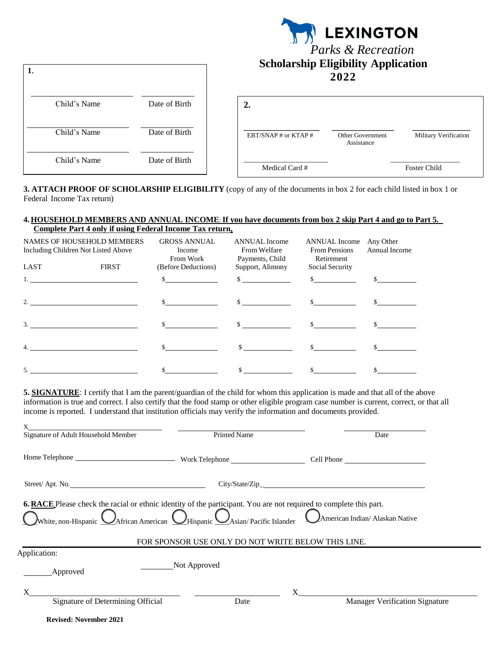| 1.           |               | <b>LEXINGTON</b><br><b>Parks &amp; Recreation</b><br><b>Scholarship Eligibility Application</b><br>2022 |  |  |  |
|--------------|---------------|---------------------------------------------------------------------------------------------------------|--|--|--|
| Child's Name | Date of Birth | 2.                                                                                                      |  |  |  |
| Child's Name | Date of Birth | EBT/SNAP # or KTAP #<br>Military Verification<br>Other Government<br>Assistance                         |  |  |  |
| Child's Name | Date of Birth | Medical Card #<br><b>Foster Child</b>                                                                   |  |  |  |

**3. ATTACH PROOF OF SCHOLARSHIP ELIGIBILITY** (copy of any of the documents in box 2 for each child listed in box 1 or Federal Income Tax return)

## **4.HOUSEHOLD MEMBERS AND ANNUAL INCOME**: **If you have documents from box 2 skip Part 4 and go to Part 5. Complete Part 4 only if using Federal Income Tax return.**

| NAMES OF HOUSEHOLD MEMBERS<br>Including Children Not Listed Above |              | <b>GROSS ANNUAL</b><br>Income<br>From Work | <b>ANNUAL</b> Income<br>From Welfare<br>Payments, Child | <b>ANNUAL</b> Income<br><b>From Pensions</b><br>Retirement | Any Other<br>Annual Income |
|-------------------------------------------------------------------|--------------|--------------------------------------------|---------------------------------------------------------|------------------------------------------------------------|----------------------------|
| LAST                                                              | <b>FIRST</b> | (Before Deductions)                        | Support, Alimony                                        | Social Security                                            |                            |
|                                                                   |              |                                            | $\sim$                                                  | $\mathbf{s}$                                               |                            |
| 2.                                                                |              |                                            | $\sim$                                                  |                                                            |                            |
| 3.                                                                |              |                                            | $\mathcal{S}$                                           |                                                            |                            |
| $\overline{4}$ .                                                  |              |                                            |                                                         |                                                            |                            |
| 5.                                                                |              |                                            |                                                         |                                                            |                            |

**5. SIGNATURE**: I certify that I am the parent/guardian of the child for whom this application is made and that all of the above information is true and correct. I also certify that the food stamp or other eligible program case number is current, correct, or that all income is reported. I understand that institution officials may verify the information and documents provided.

| X<br>Signature of Adult Household Member                                                                                                                                                                                           | <b>Printed Name</b>                                | Date                                              |
|------------------------------------------------------------------------------------------------------------------------------------------------------------------------------------------------------------------------------------|----------------------------------------------------|---------------------------------------------------|
|                                                                                                                                                                                                                                    |                                                    |                                                   |
| Street/Apt. No.                                                                                                                                                                                                                    |                                                    |                                                   |
| <b>6. RACE</b> Please check the racial or ethnic identity of the participant. You are not required to complete this part.<br>White, non-Hispanic $\bigcirc$ African American $\bigcirc$ Hispanic $\bigcirc$ Asian/Pacific Islander | FOR SPONSOR USE ONLY DO NOT WRITE BELOW THIS LINE. | American Indian/ Alaskan Native                   |
| Application:                                                                                                                                                                                                                       |                                                    |                                                   |
| <b>Approved</b>                                                                                                                                                                                                                    | Not Approved                                       |                                                   |
| Signature of Determining Official                                                                                                                                                                                                  | Date                                               | $X \sim$<br><b>Manager Verification Signature</b> |
| <b>Revised: November 2021</b>                                                                                                                                                                                                      |                                                    |                                                   |